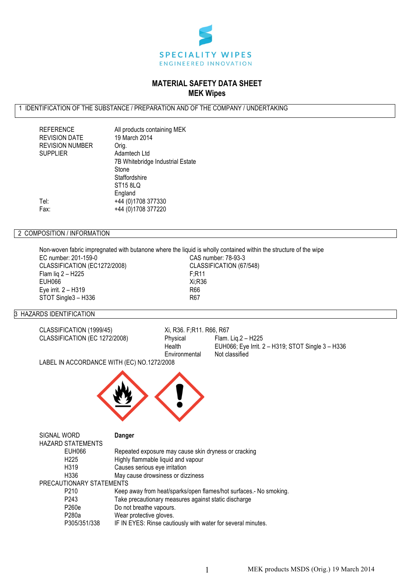

# **MATERIAL SAFETY DATA SHEET MEK Wipes**

# 1 IDENTIFICATION OF THE SUBSTANCE / PREPARATION AND OF THE COMPANY / UNDERTAKING

| <b>REFERENCE</b>       | All products containing MEK      |
|------------------------|----------------------------------|
| <b>REVISION DATE</b>   | 19 March 2014                    |
| <b>REVISION NUMBER</b> | Orig.                            |
| <b>SUPPLIER</b>        | Adamtech Ltd                     |
|                        | 7B Whitebridge Industrial Estate |
|                        | Stone                            |
|                        | Staffordshire                    |
|                        | ST15 8LQ                         |
|                        | England                          |
| Tel:                   | +44 (0)1708 377330               |
| Fax:                   | +44 (0)1708 377220               |
|                        |                                  |

# 2 COMPOSITION / INFORMATION

Non-woven fabric impregnated with butanone where the liquid is wholly contained within the structure of the wipe

EC number: 201-159-0<br>CLASSIFICATION (EC1272/2008) CLASSIFICATION (67/548) CLASSIFICATION (EC1272/2008) Flam liq 2 – H225 F;R11  $EUH066$ Eye irrit. 2 – H319 R66 STOT Single3 – H336 R67

# 3 HAZARDS IDENTIFICATION

CLASSIFICATION (EC 1272/2008) Physical Physical Flame. Leader

CLASSIFICATION (1999/45) Xi, R36. F;R11. R66, R67<br>CLASSIFICATION (EC 1272/2008) Physical Flam. Liq.2 – H225 EUH066; Eye Irrit.  $2 - H319$ ; STOT Single  $3 - H336$ Environmental Not classified

LABEL IN ACCORDANCE WITH (EC) NO.1272/2008



| SIGNAL WORD |                          | Danger                                                            |
|-------------|--------------------------|-------------------------------------------------------------------|
|             | HAZARD STATEMENTS        |                                                                   |
|             | EUH066                   | Repeated exposure may cause skin dryness or cracking              |
|             | H <sub>225</sub>         | Highly flammable liquid and vapour                                |
|             | H319                     | Causes serious eye irritation                                     |
|             | H336                     | May cause drowsiness or dizziness                                 |
|             | PRECAUTIONARY STATEMENTS |                                                                   |
|             | P <sub>210</sub>         | Keep away from heat/sparks/open flames/hot surfaces.- No smoking. |
|             | P <sub>243</sub>         | Take precautionary measures against static discharge              |
|             | P260e                    | Do not breathe vapours.                                           |
|             | P280a                    | Wear protective gloves.                                           |
|             | P305/351/338             | IF IN EYES: Rinse cautiously with water for several minutes.      |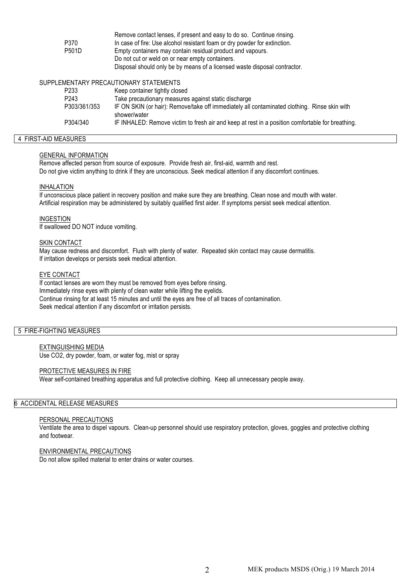|                   | Remove contact lenses, if present and easy to do so. Continue rinsing.                                       |
|-------------------|--------------------------------------------------------------------------------------------------------------|
| P370              | In case of fire: Use alcohol resistant foam or dry powder for extinction.                                    |
| P501D             | Empty containers may contain residual product and vapours.                                                   |
|                   | Do not cut or weld on or near empty containers.                                                              |
|                   | Disposal should only be by means of a licensed waste disposal contractor.                                    |
|                   | SUPPLEMENTARY PRECAUTIONARY STATEMENTS                                                                       |
| P <sub>2</sub> 33 | Keep container tightly closed                                                                                |
| P <sub>243</sub>  | Take precautionary measures against static discharge                                                         |
| P303/361/353      | IF ON SKIN (or hair): Remove/take off immediately all contaminated clothing. Rinse skin with<br>shower/water |

# P304/340 IF INHALED: Remove victim to fresh air and keep at rest in a position comfortable for breathing.

#### 4 FIRST-AID MEASURES

#### GENERAL INFORMATION

Remove affected person from source of exposure. Provide fresh air, first-aid, warmth and rest. Do not give victim anything to drink if they are unconscious. Seek medical attention if any discomfort continues.

#### INHALATION

If unconscious place patient in recovery position and make sure they are breathing. Clean nose and mouth with water. Artificial respiration may be administered by suitably qualified first aider. If symptoms persist seek medical attention.

# INGESTION

If swallowed DO NOT induce vomiting.

#### SKIN CONTACT

May cause redness and discomfort. Flush with plenty of water. Repeated skin contact may cause dermatitis. If irritation develops or persists seek medical attention.

#### EYE CONTACT

If contact lenses are worn they must be removed from eyes before rinsing. Immediately rinse eyes with plenty of clean water while lifting the eyelids. Continue rinsing for at least 15 minutes and until the eyes are free of all traces of contamination. Seek medical attention if any discomfort or irritation persists.

# 5 FIRE-FIGHTING MEASURES

# EXTINGUISHING MEDIA

Use CO2, dry powder, foam, or water fog, mist or spray

#### PROTECTIVE MEASURES IN FIRE

Wear self-contained breathing apparatus and full protective clothing. Keep all unnecessary people away.

# 6 ACCIDENTAL RELEASE MEASURES

# PERSONAL PRECAUTIONS

Ventilate the area to dispel vapours. Clean-up personnel should use respiratory protection, gloves, goggles and protective clothing and footwear.

#### ENVIRONMENTAL PRECAUTIONS

Do not allow spilled material to enter drains or water courses.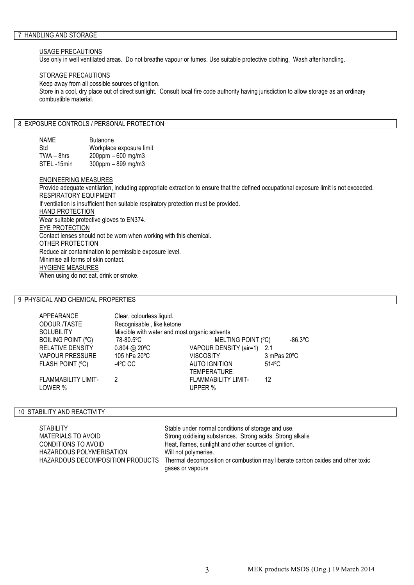#### USAGE PRECAUTIONS

Use only in well ventilated areas. Do not breathe vapour or fumes. Use suitable protective clothing. Wash after handling.

#### STORAGE PRECAUTIONS

Keep away from all possible sources of ignition. Store in a cool, dry place out of direct sunlight. Consult local fire code authority having jurisdiction to allow storage as an ordinary combustible material.

# 8 EXPOSURE CONTROLS / PERSONAL PROTECTION

| NAME         | <b>Butanone</b>           |
|--------------|---------------------------|
| Std          | Workplace exposure limit  |
| $TWA - 8hrs$ | $200$ ppm $-600$ mg/m3    |
| STEL-15min   | $300$ ppm $-899$ mg/m $3$ |

#### ENGINEERING MEASURES

Provide adequate ventilation, including appropriate extraction to ensure that the defined occupational exposure limit is not exceeded. RESPIRATORY EQUIPMENT If ventilation is insufficient then suitable respiratory protection must be provided. HAND PROTECTION Wear suitable protective gloves to EN374. EYE PROTECTION Contact lenses should not be worn when working with this chemical. OTHER PROTECTION Reduce air contamination to permissible exposure level. Minimise all forms of skin contact. HYGIENE MEASURES When using do not eat, drink or smoke.

# 9 PHYSICAL AND CHEMICAL PROPERTIES

| APPEARANCE              | Clear, colourless liquid.                     |                            |             |
|-------------------------|-----------------------------------------------|----------------------------|-------------|
| ODOUR /TASTE            | Recognisable., like ketone                    |                            |             |
| Solubility              | Miscible with water and most organic solvents |                            |             |
| BOILING POINT (°C)      | 78-80.5°C                                     | MELTING POINT (°C)         | $-86.3$ °C  |
| RELATIVE DENSITY        | $0.804$ @ 20 °C                               | VAPOUR DENSITY (air=1) 2.1 |             |
| VAPOUR PRESSURE         | 105 hPa 20°C                                  | <b>VISCOSITY</b>           | 3 mPas 20°C |
| <b>FLASH POINT (°C)</b> | -4°C CC                                       | <b>AUTO IGNITION</b>       | 514°C       |
|                         |                                               | <b>TEMPERATURE</b>         |             |
| FLAMMABILITY LIMIT-     | 2                                             | <b>FLAMMABILITY LIMIT-</b> | 12          |
| LOWER %                 |                                               | UPPER %                    |             |

## 10 STABILITY AND REACTIVITY

| <b>STABILITY</b>                 | Stable under normal conditions of storage and use.                             |
|----------------------------------|--------------------------------------------------------------------------------|
| MATERIALS TO AVOID               | Strong oxidising substances. Strong acids. Strong alkalis                      |
| CONDITIONS TO AVOID              | Heat, flames, sunlight and other sources of ignition.                          |
| HAZARDOUS POLYMERISATION         | Will not polymerise.                                                           |
| HAZARDOUS DECOMPOSITION PRODUCTS | Thermal decomposition or combustion may liberate carbon oxides and other toxic |
|                                  | gases or vapours                                                               |